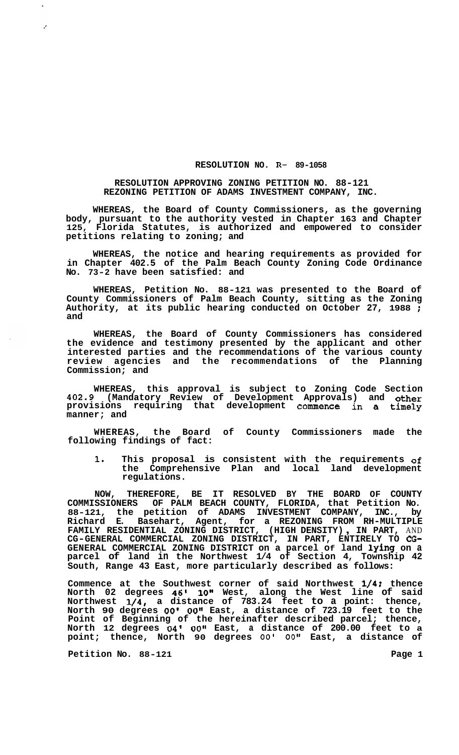## **RESOLUTION NO. R- 89-1058**

## **RESOLUTION APPROVING ZONING PETITION NO. 88-121 REZONING PETITION OF ADAMS INVESTMENT COMPANY, INC.**

**WHEREAS, the Board of County Commissioners, as the governing body, pursuant to the authority vested in Chapter 163 and Chapter 125, Florida Statutes, is authorized and empowered to consider petitions relating to zoning; and** 

**WHEREAS, the notice and hearing requirements as provided for in Chapter 402.5 of the Palm Beach County Zoning Code Ordinance No. 73-2 have been satisfied: and** 

**WHEREAS, Petition No. 88-121 was presented to the Board of County Commissioners of Palm Beach County, sitting as the Zoning Authority, at its public hearing conducted on October 27, 1988** ; **and** 

**WHEREAS, the Board of County Commissioners has considered the evidence and testimony presented by the applicant and other interested parties and the recommendations of the various county review agencies and the recommendations of the Planning Commission; and** 

**WHEREAS, this approval is subject to Zoning Code Section 402.9 (Mandatory Review of Development Approvals) and other provisions requiring that development commence in a timely manner; and** 

**WHEREAS, the Board of County Commissioners made the following findings of fact:** 

**1. This proposal is consistent with the requirements of the Comprehensive Plan and local land development regulations.** 

**NOW, THEREFORE, BE IT RESOLVED BY THE BOARD OF COUNTY COMMISSIONERS OF PALM BEACH COUNTY, FLORIDA, that Petition No. 88-121, the petition of ADAMS INVESTMENT COMPANY, INC., by Richard E. Basehart, Agent, for a REZONING FROM RH-MULTIPLE FAMILY RESIDENTIAL ZONING DISTRICT, (HIGH DENSITY)** , **IN PART,** AND **CG-GENERAL COMMERCIAL ZONING DISTRICT, IN PART, ENTIRELY TO CG-GENERAL COMMERCIAL ZONING DISTRICT on a parcel Of land lying on a parcel of land in the Northwest 1/4 of Section 4, Township 42 South, Range 43 East, more particularly described as follows:** 

**Commence at the Southwest corner of said Northwest 1/4; thence North 02 degrees 46' 10" West, along the West line of said Northwest 1/4, a distance of 783.24 feet to a point: thence, North 90 degrees** *00' 00"* **East, a distance of 723.19 feet to the Point of Beginning of the hereinafter described parcel; thence, North 12 degrees 04' 00" East, a distance of 200.00 feet to a point; thence, North 90 degrees** *00'* **OOI' East, a distance of** 

**Petition No.** 88-121 **Page 1** 

 $\overline{ }$